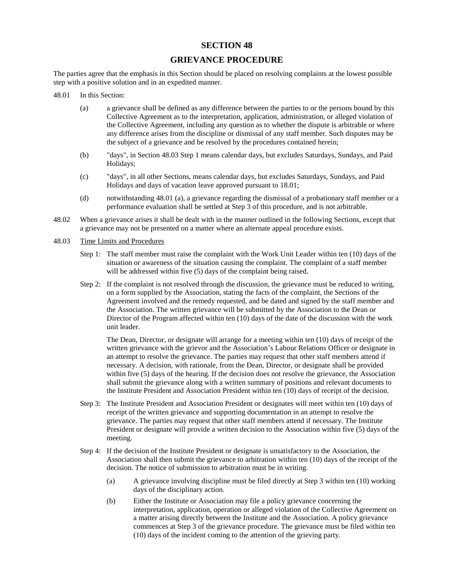## **SECTION 48**

# **GRIEVANCE PROCEDURE**

The parties agree that the emphasis in this Section should be placed on resolving complaints at the lowest possible step with a positive solution and in an expedited manner.

- 48.01 In this Section:
	- (a) a grievance shall be defined as any difference between the parties to or the persons bound by this Collective Agreement as to the interpretation, application, administration, or alleged violation of the Collective Agreement, including any question as to whether the dispute is arbitrable or where any difference arises from the discipline or dismissal of any staff member. Such disputes may be the subject of a grievance and be resolved by the procedures contained herein;
	- (b) "days", in Section 48.03 Step 1 means calendar days, but excludes Saturdays, Sundays, and Paid Holidays;
	- (c) "days", in all other Sections, means calendar days, but excludes Saturdays, Sundays, and Paid Holidays and days of vacation leave approved pursuant to 18.01;
	- (d) notwithstanding 48.01 (a), a grievance regarding the dismissal of a probationary staff member or a performance evaluation shall be settled at Step 3 of this procedure, and is not arbitrable.
- 48.02 When a grievance arises it shall be dealt with in the manner outlined in the following Sections, except that a grievance may not be presented on a matter where an alternate appeal procedure exists.
- 48.03 Time Limits and Procedures
	- Step 1: The staff member must raise the complaint with the Work Unit Leader within ten (10) days of the situation or awareness of the situation causing the complaint. The complaint of a staff member will be addressed within five (5) days of the complaint being raised.
	- Step 2: If the complaint is not resolved through the discussion, the grievance must be reduced to writing, on a form supplied by the Association, stating the facts of the complaint, the Sections of the Agreement involved and the remedy requested, and be dated and signed by the staff member and the Association. The written grievance will be submitted by the Association to the Dean or Director of the Program affected within ten (10) days of the date of the discussion with the work unit leader.

The Dean, Director, or designate will arrange for a meeting within ten (10) days of receipt of the written grievance with the grievor and the Association's Labour Relations Officer or designate in an attempt to resolve the grievance. The parties may request that other staff members attend if necessary. A decision, with rationale, from the Dean, Director, or designate shall be provided within five (5) days of the hearing. If the decision does not resolve the grievance, the Association shall submit the grievance along with a written summary of positions and relevant documents to the Institute President and Association President within ten (10) days of receipt of the decision.

- Step 3: The Institute President and Association President or designates will meet within ten (10) days of receipt of the written grievance and supporting documentation in an attempt to resolve the grievance. The parties may request that other staff members attend if necessary. The Institute President or designate will provide a written decision to the Association within five (5) days of the meeting.
- Step 4: If the decision of the Institute President or designate is unsatisfactory to the Association, the Association shall then submit the grievance to arbitration within ten (10) days of the receipt of the decision. The notice of submission to arbitration must be in writing.
	- (a) A grievance involving discipline must be filed directly at Step 3 within ten (10) working days of the disciplinary action.
	- (b) Either the Institute or Association may file a policy grievance concerning the interpretation, application, operation or alleged violation of the Collective Agreement on a matter arising directly between the Institute and the Association. A policy grievance commences at Step 3 of the grievance procedure. The grievance must be filed within ten (10) days of the incident coming to the attention of the grieving party.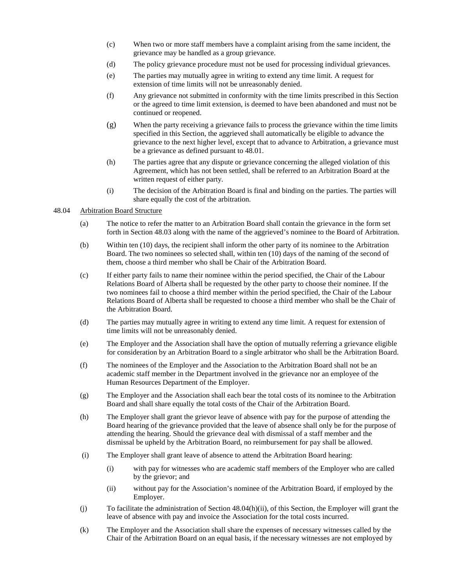- (c) When two or more staff members have a complaint arising from the same incident, the grievance may be handled as a group grievance.
- (d) The policy grievance procedure must not be used for processing individual grievances.
- (e) The parties may mutually agree in writing to extend any time limit. A request for extension of time limits will not be unreasonably denied.
- (f) Any grievance not submitted in conformity with the time limits prescribed in this Section or the agreed to time limit extension, is deemed to have been abandoned and must not be continued or reopened.
- (g) When the party receiving a grievance fails to process the grievance within the time limits specified in this Section, the aggrieved shall automatically be eligible to advance the grievance to the next higher level, except that to advance to Arbitration, a grievance must be a grievance as defined pursuant to 48.01.
- (h) The parties agree that any dispute or grievance concerning the alleged violation of this Agreement, which has not been settled, shall be referred to an Arbitration Board at the written request of either party.
- (i) The decision of the Arbitration Board is final and binding on the parties. The parties will share equally the cost of the arbitration.

#### 48.04 Arbitration Board Structure

- (a) The notice to refer the matter to an Arbitration Board shall contain the grievance in the form set forth in Section 48.03 along with the name of the aggrieved's nominee to the Board of Arbitration.
- (b) Within ten (10) days, the recipient shall inform the other party of its nominee to the Arbitration Board. The two nominees so selected shall, within ten (10) days of the naming of the second of them, choose a third member who shall be Chair of the Arbitration Board.
- (c) If either party fails to name their nominee within the period specified, the Chair of the Labour Relations Board of Alberta shall be requested by the other party to choose their nominee. If the two nominees fail to choose a third member within the period specified, the Chair of the Labour Relations Board of Alberta shall be requested to choose a third member who shall be the Chair of the Arbitration Board.
- (d) The parties may mutually agree in writing to extend any time limit. A request for extension of time limits will not be unreasonably denied.
- (e) The Employer and the Association shall have the option of mutually referring a grievance eligible for consideration by an Arbitration Board to a single arbitrator who shall be the Arbitration Board.
- (f) The nominees of the Employer and the Association to the Arbitration Board shall not be an academic staff member in the Department involved in the grievance nor an employee of the Human Resources Department of the Employer.
- (g) The Employer and the Association shall each bear the total costs of its nominee to the Arbitration Board and shall share equally the total costs of the Chair of the Arbitration Board.
- (h) The Employer shall grant the grievor leave of absence with pay for the purpose of attending the Board hearing of the grievance provided that the leave of absence shall only be for the purpose of attending the hearing. Should the grievance deal with dismissal of a staff member and the dismissal be upheld by the Arbitration Board, no reimbursement for pay shall be allowed.
- (i) The Employer shall grant leave of absence to attend the Arbitration Board hearing:
	- (i) with pay for witnesses who are academic staff members of the Employer who are called by the grievor; and
	- (ii) without pay for the Association's nominee of the Arbitration Board, if employed by the Employer.
- (j) To facilitate the administration of Section 48.04(h)(ii), of this Section, the Employer will grant the leave of absence with pay and invoice the Association for the total costs incurred.
- (k) The Employer and the Association shall share the expenses of necessary witnesses called by the Chair of the Arbitration Board on an equal basis, if the necessary witnesses are not employed by